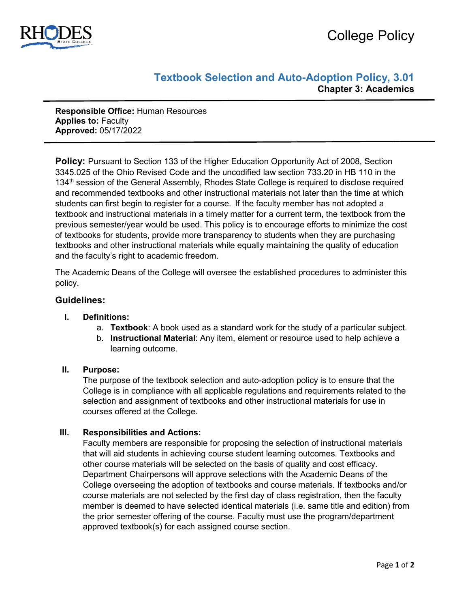

# **Textbook Selection and Auto-Adoption Policy, 3.01 Chapter 3: Academics**

**Responsible Office:** Human Resources **Applies to:** Faculty **Approved:** 05/17/2022

**Policy:** Pursuant to Section 133 of the Higher Education Opportunity Act of 2008, Section 3345.025 of the Ohio Revised Code and the uncodified law section 733.20 in HB 110 in the 134th session of the General Assembly, Rhodes State College is required to disclose required and recommended textbooks and other instructional materials not later than the time at which students can first begin to register for a course. If the faculty member has not adopted a textbook and instructional materials in a timely matter for a current term, the textbook from the previous semester/year would be used. This policy is to encourage efforts to minimize the cost of textbooks for students, provide more transparency to students when they are purchasing textbooks and other instructional materials while equally maintaining the quality of education and the faculty's right to academic freedom.

The Academic Deans of the College will oversee the established procedures to administer this policy.

### **Guidelines:**

#### **I. Definitions:**

- a. **Textbook**: A book used as a standard work for the study of a particular subject.
- b. **Instructional Material**: Any item, element or resource used to help achieve a learning outcome.

#### **II. Purpose:**

The purpose of the textbook selection and auto-adoption policy is to ensure that the College is in compliance with all applicable regulations and requirements related to the selection and assignment of textbooks and other instructional materials for use in courses offered at the College.

#### **III. Responsibilities and Actions:**

Faculty members are responsible for proposing the selection of instructional materials that will aid students in achieving course student learning outcomes. Textbooks and other course materials will be selected on the basis of quality and cost efficacy. Department Chairpersons will approve selections with the Academic Deans of the College overseeing the adoption of textbooks and course materials. If textbooks and/or course materials are not selected by the first day of class registration, then the faculty member is deemed to have selected identical materials (i.e. same title and edition) from the prior semester offering of the course. Faculty must use the program/department approved textbook(s) for each assigned course section.